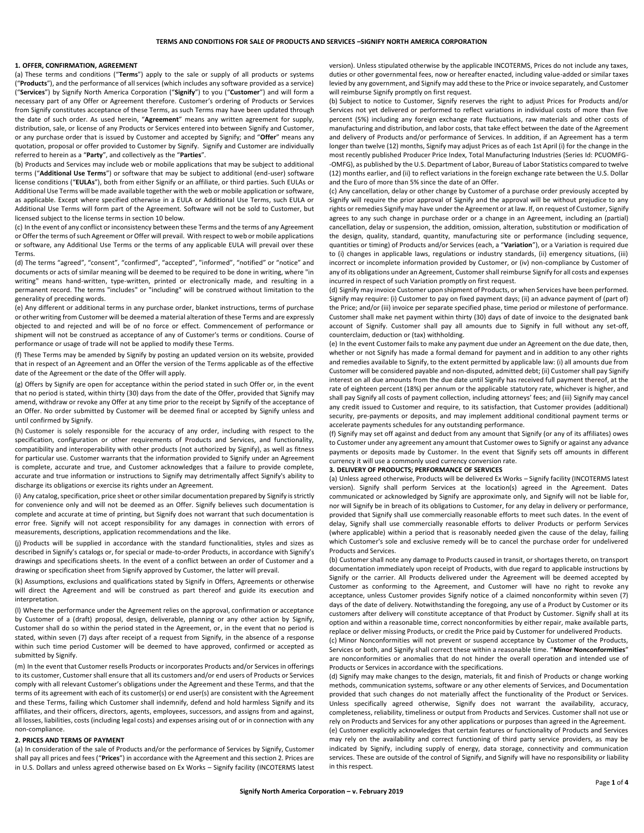#### **1. OFFER, CONFIRMATION, AGREEMENT**

(a) These terms and conditions ("**Terms**") apply to the sale or supply of all products or systems ("**Products**"), and the performance of all services (which includes any software provided as a service) ("**Services**") by Signify North America Corporation ("**Signify**") to you ("**Customer**") and will form a necessary part of any Offer or Agreement therefore. Customer's ordering of Products or Services from Signify constitutes acceptance of these Terms, as such Terms may have been updated through the date of such order. As used herein, "**Agreement**" means any written agreement for supply, distribution, sale, or license of any Products or Services entered into between Signify and Customer, or any purchase order that is issued by Customer and accepted by Signify; and "**Offer**" means any quotation, proposal or offer provided to Customer by Signify. Signify and Customer are individually referred to herein as a "**Party**", and collectively as the "**Parties**".

(b) Products and Services may include web or mobile applications that may be subject to additional terms ("**Additional Use Terms**") or software that may be subject to additional (end-user) software license conditions ("**EULAs**"), both from either Signify or an affiliate, or third parties. Such EULAs or Additional Use Terms will be made available together with the web or mobile application or software, as applicable. Except where specified otherwise in a EULA or Additional Use Terms, such EULA or Additional Use Terms will form part of the Agreement. Software will not be sold to Customer, but licensed subject to the license terms in section 10 below.

(c) In the event of any conflict or inconsistency between these Terms and the terms of any Agreement or Offer the terms of such Agreement or Offer will prevail. With respect to web or mobile applications or software, any Additional Use Terms or the terms of any applicable EULA will prevail over these Terms.

(d) The terms "agreed", "consent", "confirmed", "accepted", "informed", "notified" or "notice" and documents or acts of similar meaning will be deemed to be required to be done in writing, where "in writing" means hand-written, type-written, printed or electronically made, and resulting in a permanent record. The terms "includes" or "including" will be construed without limitation to the generality of preceding words.

(e) Any different or additional terms in any purchase order, blanket instructions, terms of purchase or other writing from Customer will be deemed a material alteration of these Terms and are expressly objected to and rejected and will be of no force or effect. Commencement of performance or shipment will not be construed as acceptance of any of Customer's terms or conditions. Course of performance or usage of trade will not be applied to modify these Terms.

(f) These Terms may be amended by Signify by posting an updated version on its website, provided that in respect of an Agreement and an Offer the version of the Terms applicable as of the effective date of the Agreement or the date of the Offer will apply.

(g) Offers by Signify are open for acceptance within the period stated in such Offer or, in the event that no period is stated, within thirty (30) days from the date of the Offer, provided that Signify may amend, withdraw or revoke any Offer at any time prior to the receipt by Signify of the acceptance of an Offer. No order submitted by Customer will be deemed final or accepted by Signify unless and until confirmed by Signify.

(h) Customer is solely responsible for the accuracy of any order, including with respect to the specification, configuration or other requirements of Products and Services, and functionality, compatibility and interoperability with other products (not authorized by Signify), as well as fitness for particular use. Customer warrants that the information provided to Signify under an Agreement is complete, accurate and true, and Customer acknowledges that a failure to provide complete, accurate and true information or instructions to Signify may detrimentally affect Signify's ability to discharge its obligations or exercise its rights under an Agreement.

(i) Any catalog, specification, price sheet or other similar documentation prepared by Signify is strictly for convenience only and will not be deemed as an Offer. Signify believes such documentation is complete and accurate at time of printing, but Signify does not warrant that such documentation is error free. Signify will not accept responsibility for any damages in connection with errors of measurements, descriptions, application recommendations and the like.

(j) Products will be supplied in accordance with the standard functionalities, styles and sizes as described in Signify's catalogs or, for special or made-to-order Products, in accordance with Signify's drawings and specifications sheets. In the event of a conflict between an order of Customer and a drawing or specification sheet from Signify approved by Customer, the latter will prevail.

(k) Assumptions, exclusions and qualifications stated by Signify in Offers, Agreements or otherwise will direct the Agreement and will be construed as part thereof and guide its execution and interpretation.

(l) Where the performance under the Agreement relies on the approval, confirmation or acceptance by Customer of a (draft) proposal, design, deliverable, planning or any other action by Signify, Customer shall do so within the period stated in the Agreement, or, in the event that no period is stated, within seven (7) days after receipt of a request from Signify, in the absence of a response within such time period Customer will be deemed to have approved, confirmed or accepted as submitted by Signify.

(m) In the event that Customer resells Products or incorporates Products and/or Services in offerings to its customer, Customer shall ensure that all its customers and/or end users of Products or Services comply with all relevant Customer's obligations under the Agreement and these Terms, and that the terms of its agreement with each of its customer(s) or end user(s) are consistent with the Agreement and these Terms, failing which Customer shall indemnify, defend and hold harmless Signify and its affiliates, and their officers, directors, agents, employees, successors, and assigns from and against, all losses, liabilities, costs (including legal costs) and expenses arising out of or in connection with any non-compliance.

# <span id="page-0-0"></span>**2. PRICES AND TERMS OF PAYMENT**

(a) In consideration of the sale of Products and/or the performance of Services by Signify, Customer shall pay all prices and fees ("**Prices**") in accordance with the Agreement and this section 2. Prices are in U.S. Dollars and unless agreed otherwise based on Ex Works – Signify facility (INCOTERMS latest

version). Unless stipulated otherwise by the applicable INCOTERMS, Prices do not include any taxes, duties or other governmental fees, now or hereafter enacted, including value-added or similar taxes levied by any government, and Signify may add these to the Price or invoice separately, and Customer will reimburse Signify promptly on first request.

(b) Subject to notice to Customer, Signify reserves the right to adjust Prices for Products and/or Services not yet delivered or performed to reflect variations in individual costs of more than five percent (5%) including any foreign exchange rate fluctuations, raw materials and other costs of manufacturing and distribution, and labor costs, that take effect between the date of the Agreement and delivery of Products and/or performance of Services. In addition, if an Agreement has a term longer than twelve (12) months, Signify may adjust Prices as of each 1st April (i) for the change in the most recently published Producer Price Index, Total Manufacturing Industries (Series Id: PCUOMFG- -OMFG), as published by the U.S. Department of Labor, Bureau of Labor Statistics compared to twelve (12) months earlier, and (ii) to reflect variations in the foreign exchange rate between the U.S. Dollar and the Euro of more than 5% since the date of an Offer.

<span id="page-0-1"></span>(c) Any cancellation, delay or other change by Customer of a purchase order previously accepted by Signify will require the prior approval of Signify and the approval will be without prejudice to any rights or remedies Signify may have under the Agreement or at law. If, on request of Customer, Signify agrees to any such change in purchase order or a change in an Agreement, including an (partial) cancellation, delay or suspension, the addition, omission, alteration, substitution or modification of the design, quality, standard, quantity, manufacturing site or performance (including sequence, quantities or timing) of Products and/or Services (each, a "**Variation**"), or a Variation is required due to (i) changes in applicable laws, regulations or industry standards, (ii) emergency situations, (iii) incorrect or incomplete information provided by Customer, or (iv) non-compliance by Customer of any of its obligations under an Agreement, Customer shall reimburse Signify for all costs and expenses incurred in respect of such Variation promptly on first request.

(d) Signify may invoice Customer upon shipment of Products, or when Services have been performed. Signify may require: (i) Customer to pay on fixed payment days; (ii) an advance payment of (part of) the Price; and/or (iii) invoice per separate specified phase, time period or milestone of performance. Customer shall make net payment within thirty (30) days of date of invoice to the designated bank account of Signify. Customer shall pay all amounts due to Signify in full without any set-off, counterclaim, deduction or (tax) withholding.

(e) In the event Customer fails to make any payment due under an Agreement on the due date, then, whether or not Signify has made a formal demand for payment and in addition to any other rights and remedies available to Signify, to the extent permitted by applicable law: (i) all amounts due from Customer will be considered payable and non-disputed, admitted debt; (ii) Customer shall pay Signify interest on all due amounts from the due date until Signify has received full payment thereof, at the rate of eighteen percent (18%) per annum or the applicable statutory rate, whichever is higher, and shall pay Signify all costs of payment collection, including attorneys' fees; and (iii) Signify may cancel any credit issued to Customer and require, to its satisfaction, that Customer provides (additional) security, pre-payments or deposits, and may implement additional conditional payment terms or accelerate payments schedules for any outstanding performance.

(f) Signify may set off against and deduct from any amount that Signify (or any of its affiliates) owes to Customer under any agreement any amount that Customer owes to Signify or against any advance payments or deposits made by Customer. In the event that Signify sets off amounts in different currency it will use a commonly used currency conversion rate.

# **3. DELIVERY OF PRODUCTS; PERFORMANCE OF SERVICES**

(a) Unless agreed otherwise, Products will be delivered Ex Works – Signify facility (INCOTERMS latest version). Signify shall perform Services at the location(s) agreed in the Agreement. Dates communicated or acknowledged by Signify are approximate only, and Signify will not be liable for, nor will Signify be in breach of its obligations to Customer, for any delay in delivery or performance, provided that Signify shall use commercially reasonable efforts to meet such dates. In the event of delay, Signify shall use commercially reasonable efforts to deliver Products or perform Services (where applicable) within a period that is reasonably needed given the cause of the delay, failing which Customer's sole and exclusive remedy will be to cancel the purchase order for undelivered Products and Services.

(b) Customer shall note any damage to Products caused in transit, or shortages thereto, on transport documentation immediately upon receipt of Products, with due regard to applicable instructions by Signify or the carrier. All Products delivered under the Agreement will be deemed accepted by Customer as conforming to the Agreement, and Customer will have no right to revoke any acceptance, unless Customer provides Signify notice of a claimed nonconformity within seven (7) days of the date of delivery. Notwithstanding the foregoing, any use of a Product by Customer or its customers after delivery will constitute acceptance of that Product by Customer. Signify shall at its option and within a reasonable time, correct nonconformities by either repair, make available parts, replace or deliver missing Products, or credit the Price paid by Customer for undelivered Products.

(c) Minor Nonconformities will not prevent or suspend acceptance by Customer of the Products, Services or both, and Signify shall correct these within a reasonable time. "**Minor Nonconformities**" are nonconformities or anomalies that do not hinder the overall operation and intended use of Products or Services in accordance with the specifications.

(d) Signify may make changes to the design, materials, fit and finish of Products or change working methods, communication systems, software or any other elements of Services, and Documentation provided that such changes do not materially affect the functionality of the Product or Services. Unless specifically agreed otherwise, Signify does not warrant the availability, accuracy, completeness, reliability, timeliness or output from Products and Services. Customer shall not use or rely on Products and Services for any other applications or purposes than agreed in the Agreement. (e) Customer explicitly acknowledges that certain features or functionality of Products and Services may rely on the availability and correct functioning of third party service providers, as may be indicated by Signify, including supply of energy, data storage, connectivity and communication services. These are outside of the control of Signify, and Signify will have no responsibility or liability in this respect.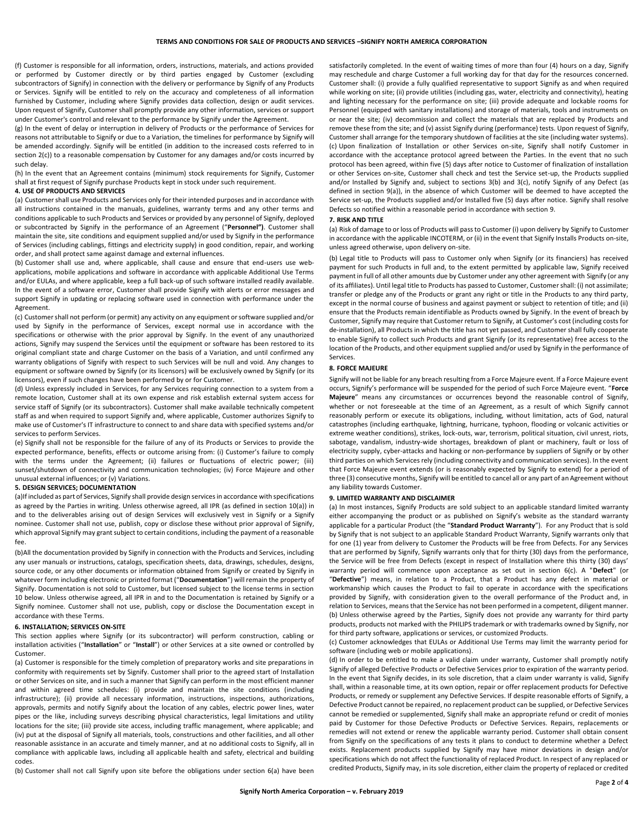(f) Customer is responsible for all information, orders, instructions, materials, and actions provided or performed by Customer directly or by third parties engaged by Customer (excluding subcontractors of Signify) in connection with the delivery or performance by Signify of any Products or Services. Signify will be entitled to rely on the accuracy and completeness of all information furnished by Customer, including where Signify provides data collection, design or audit services. Upon request of Signify, Customer shall promptly provide any other information, services or support under Customer's control and relevant to the performance by Signify under the Agreement.

(g) In the event of delay or interruption in delivery of Products or the performance of Services for reasons not attributable to Signify or due to a Variation, the timelines for performance by Signify will be amended accordingly. Signify will be entitled (in addition to the increased costs referred to in sectio[n 2](#page-0-0)[\(c\)\)](#page-0-1) to a reasonable compensation by Customer for any damages and/or costs incurred by such delay.

(h) In the event that an Agreement contains (minimum) stock requirements for Signify, Customer shall at first request of Signify purchase Products kept in stock under such requirement.

# **4. USE OF PRODUCTS AND SERVICES**

(a) Customer shall use Products and Services only for their intended purposes and in accordance with all instructions contained in the manuals, guidelines, warranty terms and any other terms and conditions applicable to such Products and Services or provided by any personnel of Signify, deployed or subcontracted by Signify in the performance of an Agreement ("**Personnel")**. Customer shall maintain the site, site conditions and equipment supplied and/or used by Signify in the performance of Services (including cablings, fittings and electricity supply) in good condition, repair, and working order, and shall protect same against damage and external influences.

(b) Customer shall use and, where applicable, shall cause and ensure that end-users use webapplications, mobile applications and software in accordance with applicable Additional Use Terms and/or EULAs, and where applicable, keep a full back-up of such software installed readily available. In the event of a software error, Customer shall provide Signify with alerts or error messages and support Signify in updating or replacing software used in connection with performance under the Agreement.

(c) Customer shall not perform (or permit) any activity on any equipment or software supplied and/or used by Signify in the performance of Services, except normal use in accordance with the specifications or otherwise with the prior approval by Signify. In the event of any unauthorized actions, Signify may suspend the Services until the equipment or software has been restored to its original compliant state and charge Customer on the basis of a Variation, and until confirmed any warranty obligations of Signify with respect to such Services will be null and void. Any changes to equipment or software owned by Signify (or its licensors) will be exclusively owned by Signify (or its licensors), even if such changes have been performed by or for Customer.

(d) Unless expressly included in Services, for any Services requiring connection to a system from a remote location, Customer shall at its own expense and risk establish external system access for service staff of Signify (or its subcontractors). Customer shall make available technically competent staff as and when required to support Signify and, where applicable, Customer authorizes Signify to make use of Customer's IT infrastructure to connect to and share data with specified systems and/or services to perform Services.

(e) Signify shall not be responsible for the failure of any of its Products or Services to provide the expected performance, benefits, effects or outcome arising from: (i) Customer's failure to comply with the terms under the Agreement; (ii) failures or fluctuations of electric power; (iii) sunset/shutdown of connectivity and communication technologies; (iv) Force Majeure and other unusual external influences; or (v) Variations.

#### **5. DESIGN SERVICES; DOCUMENTATION**

(a)If included as part of Services, Signify shall provide design services in accordance with specifications as agreed by the Parties in writing. Unless otherwise agreed, all IPR (as defined in section [10](#page-2-0)[\(a\)\)](#page-2-1) in and to the deliverables arising out of design Services will exclusively vest in Signify or a Signify nominee. Customer shall not use, publish, copy or disclose these without prior approval of Signify, which approval Signify may grant subject to certain conditions, including the payment of a reasonable fee.

(b)All the documentation provided by Signify in connection with the Products and Services, including any user manuals or instructions, catalogs, specification sheets, data, drawings, schedules, designs, source code, or any other documents or information obtained from Signify or created by Signify in whatever form including electronic or printed format ("**Documentation**") will remain the property of Signify. Documentation is not sold to Customer, but licensed subject to the license terms in section 10 below. Unless otherwise agreed, all IPR in and to the Documentation is retained by Signify or a Signify nominee. Customer shall not use, publish, copy or disclose the Documentation except in accordance with these Terms.

### **6. INSTALLATION; SERVICES ON-SITE**

This section applies where Signify (or its subcontractor) will perform construction, cabling or installation activities ("**Installation**" or "**Install**") or other Services at a site owned or controlled by Customer.

(a) Customer is responsible for the timely completion of preparatory works and site preparations in conformity with requirements set by Signify. Customer shall prior to the agreed start of Installation or other Services on site, and in such a manner that Signify can perform in the most efficient manner and within agreed time schedules: (i) provide and maintain the site conditions (including infrastructure); (ii) provide all necessary information, instructions, inspections, authorizations, approvals, permits and notify Signify about the location of any cables, electric power lines, water pipes or the like, including surveys describing physical characteristics, legal limitations and utility locations for the site; (iii) provide site access, including traffic management, where applicable; and (iv) put at the disposal of Signify all materials, tools, constructions and other facilities, and all other reasonable assistance in an accurate and timely manner, and at no additional costs to Signify, all in compliance with applicable laws, including all applicable health and safety, electrical and building codes.

(b) Customer shall not call Signify upon site before the obligations under section 6(a) have been

satisfactorily completed. In the event of waiting times of more than four (4) hours on a day, Signify may reschedule and charge Customer a full working day for that day for the resources concerned. Customer shall: (i) provide a fully qualified representative to support Signify as and when required while working on site; (ii) provide utilities (including gas, water, electricity and connectivity), heating and lighting necessary for the performance on site; (iii) provide adequate and lockable rooms for Personnel (equipped with sanitary installations) and storage of materials, tools and instruments on or near the site; (iv) decommission and collect the materials that are replaced by Products and remove these from the site; and (v) assist Signify during (performance) tests. Upon request of Signify, Customer shall arrange for the temporary shutdown of facilities at the site (including water systems). (c) Upon finalization of Installation or other Services on-site, Signify shall notify Customer in accordance with the acceptance protocol agreed between the Parties. In the event that no such protocol has been agreed, within five (5) days after notice to Customer of finalization of installation or other Services on-site, Customer shall check and test the Service set-up, the Products supplied and/or Installed by Signify and, subject to sections 3(b) and 3(c), notify Signify of any Defect (as defined in section [9\(](#page-1-0)[a\)\)](#page-1-1), in the absence of which Customer will be deemed to have accepted the Service set-up, the Products supplied and/or Installed five (5) days after notice. Signify shall resolve Defects so notified within a reasonable period in accordance with sectio[n 9.](#page-1-0)

# **7. RISK AND TITLE**

(a) Risk of damage to or loss of Products will pass to Customer (i) upon delivery by Signify to Customer in accordance with the applicable INCOTERM, or (ii) in the event that Signify Installs Products on-site, unless agreed otherwise, upon delivery on-site.

(b) Legal title to Products will pass to Customer only when Signify (or its financiers) has received payment for such Products in full and, to the extent permitted by applicable law, Signify received payment in full of all other amounts due by Customer under any other agreement with Signify (or any of its affiliates). Until legal title to Products has passed to Customer, Customer shall: (i) not assimilate; transfer or pledge any of the Products or grant any right or title in the Products to any third party, except in the normal course of business and against payment or subject to retention of title; and (ii) ensure that the Products remain identifiable as Products owned by Signify. In the event of breach by Customer, Signify may require that Customer return to Signify, at Customer's cost (including costs for de-installation), all Products in which the title has not yet passed, and Customer shall fully cooperate to enable Signify to collect such Products and grant Signify (or its representative) free access to the location of the Products, and other equipment supplied and/or used by Signify in the performance of Services.

# **8. FORCE MAJEURE**

Signify will not be liable for any breach resulting from a Force Majeure event. If a Force Majeure event occurs, Signify's performance will be suspended for the period of such Force Majeure event. "**Force Majeure**" means any circumstances or occurrences beyond the reasonable control of Signify, whether or not foreseeable at the time of an Agreement, as a result of which Signify cannot reasonably perform or execute its obligations, including, without limitation, acts of God, natural catastrophes (including earthquake, lightning, hurricane, typhoon, flooding or volcanic activities or extreme weather conditions), strikes, lock-outs, war, terrorism, political situation, civil unrest, riots, sabotage, vandalism, industry-wide shortages, breakdown of plant or machinery, fault or loss of electricity supply, cyber-attacks and hacking or non-performance by suppliers of Signify or by other third parties on which Services rely (including connectivity and communication services). In the event that Force Majeure event extends (or is reasonably expected by Signify to extend) for a period of three (3) consecutive months, Signify will be entitled to cancel all or any part of an Agreement without any liability towards Customer.

#### <span id="page-1-0"></span>**9. LIMITED WARRANTY AND DISCLAIMER**

<span id="page-1-1"></span>(a) In most instances, Signify Products are sold subject to an applicable standard limited warranty either accompanying the product or as published on Signify's website as the standard warranty applicable for a particular Product (the "**Standard Product Warranty**"). For any Product that is sold by Signify that is not subject to an applicable Standard Product Warranty, Signify warrants only that for one (1) year from delivery to Customer the Products will be free from Defects. For any Services that are performed by Signify, Signify warrants only that for thirty (30) days from the performance, the Service will be free from Defects (except in respect of Installation where this thirty (30) days' warranty period will commence upon acceptance as set out in section 6(c). A "**Defect**" (or "**Defective**") means, in relation to a Product, that a Product has any defect in material or workmanship which causes the Product to fail to operate in accordance with the specifications provided by Signify, with consideration given to the overall performance of the Product and, in relation to Services, means that the Service has not been performed in a competent, diligent manner. (b) Unless otherwise agreed by the Parties, Signify does not provide any warranty for third party products, products not marked with the PHILIPS trademark or with trademarks owned by Signify, nor for third party software, applications or services, or customized Products.

(c) Customer acknowledges that EULAs or Additional Use Terms may limit the warranty period for software (including web or mobile applications).

(d) In order to be entitled to make a valid claim under warranty, Customer shall promptly notify Signify of alleged Defective Products or Defective Services prior to expiration of the warranty period. In the event that Signify decides, in its sole discretion, that a claim under warranty is valid, Signify shall, within a reasonable time, at its own option, repair or offer replacement products for Defective Products, or remedy or supplement any Defective Services. If despite reasonable efforts of Signify, a Defective Product cannot be repaired, no replacement product can be supplied, or Defective Services cannot be remedied or supplemented, Signify shall make an appropriate refund or credit of monies paid by Customer for those Defective Products or Defective Services. Repairs, replacements or remedies will not extend or renew the applicable warranty period. Customer shall obtain consent from Signify on the specifications of any tests it plans to conduct to determine whether a Defect exists. Replacement products supplied by Signify may have minor deviations in design and/or specifications which do not affect the functionality of replaced Product. In respect of any replaced or credited Products, Signify may, in its sole discretion, either claim the property of replaced or credited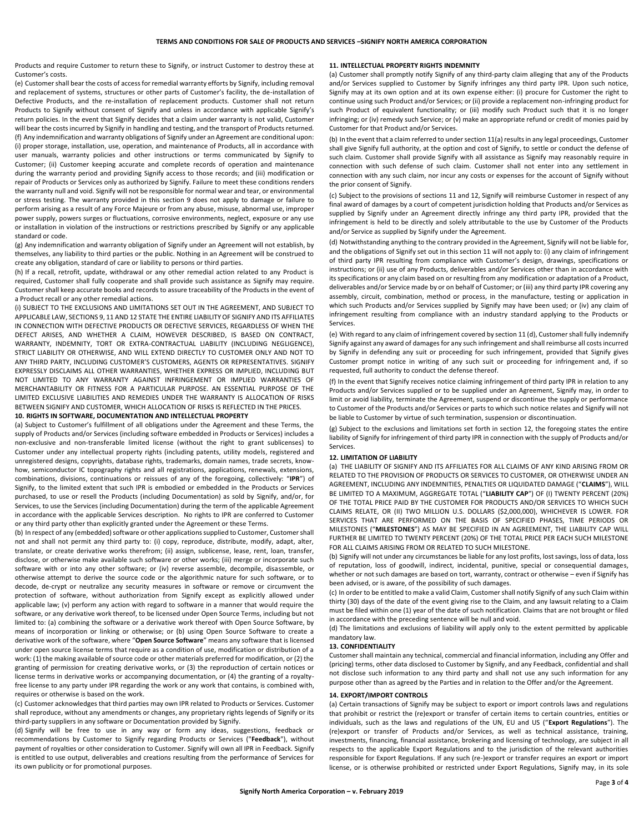Products and require Customer to return these to Signify, or instruct Customer to destroy these at Customer's costs.

(e) Customer shall bear the costs of access for remedial warranty efforts by Signify, including removal and replacement of systems, structures or other parts of Customer's facility, the de-installation of Defective Products, and the re-installation of replacement products. Customer shall not return Products to Signify without consent of Signify and unless in accordance with applicable Signify's return policies. In the event that Signify decides that a claim under warranty is not valid, Customer will bear the costs incurred by Signify in handling and testing, and the transport of Products returned. (f) Any indemnification and warranty obligations of Signify under an Agreement are conditional upon: (i) proper storage, installation, use, operation, and maintenance of Products, all in accordance with user manuals, warranty policies and other instructions or terms communicated by Signify to Customer; (ii) Customer keeping accurate and complete records of operation and maintenance during the warranty period and providing Signify access to those records; and (iii) modification or repair of Products or Services only as authorized by Signify. Failure to meet these conditions renders the warranty null and void. Signify will not be responsible for normal wear and tear, or environmental or stress testing. The warranty provided in this section 9 does not apply to damage or failure to perform arising as a result of any Force Majeure or from any abuse, misuse, abnormal use, improper power supply, powers surges or fluctuations, corrosive environments, neglect, exposure or any use or installation in violation of the instructions or restrictions prescribed by Signify or any applicable standard or code.

(g) Any indemnification and warranty obligation of Signify under an Agreement will not establish, by themselves, any liability to third parties or the public. Nothing in an Agreement will be construed to create any obligation, standard of care or liability to persons or third parties.

(h) If a recall, retrofit, update, withdrawal or any other remedial action related to any Product is required, Customer shall fully cooperate and shall provide such assistance as Signify may require. Customer shall keep accurate books and records to assure traceability of the Products in the event of a Product recall or any other remedial actions.

(i) SUBJECT TO THE EXCLUSIONS AND LIMITATIONS SET OUT IN THE AGREEMENT, AND SUBJECT TO APPLICABLE LAW, SECTION[S 9,](#page-1-0) 11 AN[D 12](#page-2-2) STATE THE ENTIRE LIABILITY OF SIGNIFY AND ITS AFFILIATES IN CONNECTION WITH DEFECTIVE PRODUCTS OR DEFECTIVE SERVICES, REGARDLESS OF WHEN THE DEFECT ARISES, AND WHETHER A CLAIM, HOWEVER DESCRIBED, IS BASED ON CONTRACT, WARRANTY, INDEMNITY, TORT OR EXTRA-CONTRACTUAL LIABILITY (INCLUDING NEGLIGENCE), STRICT LIABILITY OR OTHERWISE, AND WILL EXTEND DIRECTLY TO CUSTOMER ONLY AND NOT TO ANY THIRD PARTY, INCLUDING CUSTOMER'S CUSTOMERS, AGENTS OR REPRESENTATIVES. SIGNIFY EXPRESSLY DISCLAIMS ALL OTHER WARRANTIES, WHETHER EXPRESS OR IMPLIED, INCLUDING BUT NOT LIMITED TO ANY WARRANTY AGAINST INFRINGEMENT OR IMPLIED WARRANTIES OF MERCHANTABILITY OR FITNESS FOR A PARTICULAR PURPOSE. AN ESSENTIAL PURPOSE OF THE LIMITED EXCLUSIVE LIABILITIES AND REMEDIES UNDER THE WARRANTY IS ALLOCATION OF RISKS BETWEEN SIGNIFY AND CUSTOMER, WHICH ALLOCATION OF RISKS IS REFLECTED IN THE PRICES.

# <span id="page-2-0"></span>**10. RIGHTS IN SOFTWARE, DOCUMENTATION AND INTELLECTUAL PROPERTY**

<span id="page-2-1"></span>(a) Subject to Customer's fulfillment of all obligations under the Agreement and these Terms, the supply of Products and/or Services (including software embedded in Products or Services) includes a non-exclusive and non-transferable limited license (without the right to grant sublicenses) to Customer under any intellectual property rights (including patents, utility models, registered and unregistered designs, copyrights, database rights, trademarks, domain names, trade secrets, knowhow, semiconductor IC topography rights and all registrations, applications, renewals, extensions, combinations, divisions, continuations or reissues of any of the foregoing, collectively: "**IPR**") of Signify, to the limited extent that such IPR is embodied or embedded in the Products or Services purchased, to use or resell the Products (including Documentation) as sold by Signify, and/or, for Services, to use the Services (including Documentation) during the term of the applicable Agreement in accordance with the applicable Services description. No rights to IPR are conferred to Customer or any third party other than explicitly granted under the Agreement or these Terms.

(b) In respect of any (embedded) software or other applications supplied to Customer, Customer shall not and shall not permit any third party to: (i) copy, reproduce, distribute, modify, adapt, alter, translate, or create derivative works therefrom; (ii) assign, sublicense, lease, rent, loan, transfer, disclose, or otherwise make available such software or other works; (iii) merge or incorporate such software with or into any other software; or (iv) reverse assemble, decompile, disassemble, or otherwise attempt to derive the source code or the algorithmic nature for such software, or to decode, de-crypt or neutralize any security measures in software or remove or circumvent the protection of software, without authorization from Signify except as explicitly allowed under applicable law; (v) perform any action with regard to software in a manner that would require the software, or any derivative work thereof, to be licensed under Open Source Terms, including but not limited to: (a) combining the software or a derivative work thereof with Open Source Software, by means of incorporation or linking or otherwise; or (b) using Open Source Software to create a derivative work of the software, where "**Open Source Software**" means any software that is licensed under open source license terms that require as a condition of use, modification or distribution of a work: (1) the making available of source code or other materials preferred for modification, or (2) the granting of permission for creating derivative works, or (3) the reproduction of certain notices or license terms in derivative works or accompanying documentation, or (4) the granting of a royaltyfree license to any party under IPR regarding the work or any work that contains, is combined with, requires or otherwise is based on the work.

(c) Customer acknowledges that third parties may own IPR related to Products or Services. Customer shall reproduce, without any amendments or changes, any proprietary rights legends of Signify or its third-party suppliers in any software or Documentation provided by Signify.

(d) Signify will be free to use in any way or form any ideas, suggestions, feedback or recommendations by Customer to Signify regarding Products or Services ("**Feedback**"), without payment of royalties or other consideration to Customer. Signify will own all IPR in Feedback. Signify is entitled to use output, deliverables and creations resulting from the performance of Services for its own publicity or for promotional purposes.

#### <span id="page-2-3"></span>**11. INTELLECTUAL PROPERTY RIGHTS INDEMNITY**

<span id="page-2-4"></span>(a) Customer shall promptly notify Signify of any third-party claim alleging that any of the Products and/or Services supplied to Customer by Signify infringes any third party IPR. Upon such notice, Signify may at its own option and at its own expense either: (i) procure for Customer the right to continue using such Product and/or Services; or (ii) provide a replacement non-infringing product for such Product of equivalent functionality; or (iii) modify such Product such that it is no longer infringing; or (iv) remedy such Service; or (v) make an appropriate refund or credit of monies paid by Customer for that Product and/or Services.

(b) In the event that a claim referred to under sectio[n 11\(](#page-2-3)[a\)](#page-2-4) results in any legal proceedings, Customer shall give Signify full authority, at the option and cost of Signify, to settle or conduct the defense of such claim. Customer shall provide Signify with all assistance as Signify may reasonably require in connection with such defense of such claim. Customer shall not enter into any settlement in connection with any such claim, nor incur any costs or expenses for the account of Signify without the prior consent of Signify.

(c) Subject to the provisions of sections [11](#page-2-3) an[d 12,](#page-2-2) Signify will reimburse Customer in respect of any final award of damages by a court of competent jurisdiction holding that Products and/or Services as supplied by Signify under an Agreement directly infringe any third party IPR, provided that the infringement is held to be directly and solely attributable to the use by Customer of the Products and/or Service as supplied by Signify under the Agreement.

(d) Notwithstanding anything to the contrary provided in the Agreement, Signify will not be liable for, and the obligations of Signify set out in this sectio[n 11](#page-2-3) will not apply to: (i) any claim of infringement of third party IPR resulting from compliance with Customer's design, drawings, specifications or instructions; or (ii) use of any Products, deliverables and/or Services other than in accordance with its specifications or any claim based on or resulting from any modification or adaptation of a Product, deliverables and/or Service made by or on behalf of Customer; or (iii) any third party IPR covering any assembly, circuit, combination, method or process, in the manufacture, testing or application in which such Products and/or Services supplied by Signify may have been used; or (iv) any claim of infringement resulting from compliance with an industry standard applying to the Products or Services.

(e) With regard to any claim of infringement covered by section 11 (d), Customer shall fully indemnify Signify against any award of damages for any such infringement and shall reimburse all costs incurred by Signify in defending any suit or proceeding for such infringement, provided that Signify gives Customer prompt notice in writing of any such suit or proceeding for infringement and, if so requested, full authority to conduct the defense thereof.

(f) In the event that Signify receives notice claiming infringement of third party IPR in relation to any Products and/or Services supplied or to be supplied under an Agreement, Signify may, in order to limit or avoid liability, terminate the Agreement, suspend or discontinue the supply or performance to Customer of the Products and/or Services or parts to which such notice relates and Signify will not be liable to Customer by virtue of such termination, suspension or discontinuation.

(g) Subject to the exclusions and limitations set forth in sectio[n 12,](#page-2-2) the foregoing states the entire liability of Signify for infringement of third party IPR in connection with the supply of Products and/or Services.

### <span id="page-2-2"></span>**12. LIMITATION OF LIABILITY**

(a) THE LIABILITY OF SIGNIFY AND ITS AFFILIATES FOR ALL CLAIMS OF ANY KIND ARISING FROM OR RELATED TO THE PROVISION OF PRODUCTS OR SERVICES TO CUSTOMER, OR OTHERWISE UNDER AN AGREEMENT, INCLUDING ANY INDEMNITIES, PENALTIES OR LIQUIDATED DAMAGE ("**CLAIMS**"), WILL BE LIMITED TO A MAXIMUM, AGGREGATE TOTAL ("**LIABILITY CAP**") OF (I) TWENTY PERCENT (20%) OF THE TOTAL PRICE PAID BY THE CUSTOMER FOR PRODUCTS AND/OR SERVICES TO WHICH SUCH CLAIMS RELATE, OR (II) TWO MILLION U.S. DOLLARS (\$2,000,000), WHICHEVER IS LOWER. FOR SERVICES THAT ARE PERFORMED ON THE BASIS OF SPECIFIED PHASES, TIME PERIODS OR MILESTONES ("**MILESTONES**") AS MAY BE SPECIFIED IN AN AGREEMENT, THE LIABILITY CAP WILL FURTHER BE LIMITED TO TWENTY PERCENT (20%) OF THE TOTAL PRICE PER EACH SUCH MILESTONE FOR ALL CLAIMS ARISING FROM OR RELATED TO SUCH MILESTONE.

(b) Signify will not under any circumstances be liable for any lost profits, lost savings, loss of data, loss of reputation, loss of goodwill, indirect, incidental, punitive, special or consequential damages, whether or not such damages are based on tort, warranty, contract or otherwise – even if Signify has been advised, or is aware, of the possibility of such damages.

(c) In order to be entitled to make a valid Claim, Customer shall notify Signify of any such Claim within thirty (30) days of the date of the event giving rise to the Claim, and any lawsuit relating to a Claim must be filed within one (1) year of the date of such notification. Claims that are not brought or filed in accordance with the preceding sentence will be null and void.

(d) The limitations and exclusions of liability will apply only to the extent permitted by applicable mandatory law.

# **13. CONFIDENTIALITY**

Customer shall maintain any technical, commercial and financial information, including any Offer and (pricing) terms, other data disclosed to Customer by Signify, and any Feedback, confidential and shall not disclose such information to any third party and shall not use any such information for any purpose other than as agreed by the Parties and in relation to the Offer and/or the Agreement.

## **14. EXPORT/IMPORT CONTROLS**

(a) Certain transactions of Signify may be subject to export or import controls laws and regulations that prohibit or restrict the (re)export or transfer of certain items to certain countries, entities or individuals, such as the laws and regulations of the UN, EU and US ("**Export Regulations**"). The (re)export or transfer of Products and/or Services, as well as technical assistance, training, investments, financing, financial assistance, brokering and licensing of technology, are subject in all respects to the applicable Export Regulations and to the jurisdiction of the relevant authorities responsible for Export Regulations. If any such (re-)export or transfer requires an export or import license, or is otherwise prohibited or restricted under Export Regulations, Signify may, in its sole